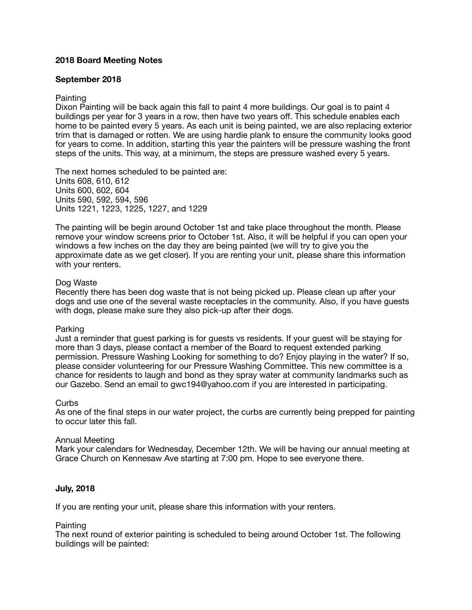## **2018 Board Meeting Notes**

### **September 2018**

### **Painting**

Dixon Painting will be back again this fall to paint 4 more buildings. Our goal is to paint 4 buildings per year for 3 years in a row, then have two years off. This schedule enables each home to be painted every 5 years. As each unit is being painted, we are also replacing exterior trim that is damaged or rotten. We are using hardie plank to ensure the community looks good for years to come. In addition, starting this year the painters will be pressure washing the front steps of the units. This way, at a minimum, the steps are pressure washed every 5 years.

The next homes scheduled to be painted are: Units 608, 610, 612 Units 600, 602, 604 Units 590, 592, 594, 596 Units 1221, 1223, 1225, 1227, and 1229

The painting will be begin around October 1st and take place throughout the month. Please remove your window screens prior to October 1st. Also, it will be helpful if you can open your windows a few inches on the day they are being painted (we will try to give you the approximate date as we get closer). If you are renting your unit, please share this information with your renters.

### Dog Waste

Recently there has been dog waste that is not being picked up. Please clean up after your dogs and use one of the several waste receptacles in the community. Also, if you have guests with dogs, please make sure they also pick-up after their dogs.

#### Parking

Just a reminder that guest parking is for guests vs residents. If your guest will be staying for more than 3 days, please contact a member of the Board to request extended parking permission. Pressure Washing Looking for something to do? Enjoy playing in the water? If so, please consider volunteering for our Pressure Washing Committee. This new committee is a chance for residents to laugh and bond as they spray water at community landmarks such as our Gazebo. Send an email to gwc194@yahoo.com if you are interested in participating.

#### Curbs

As one of the final steps in our water project, the curbs are currently being prepped for painting to occur later this fall.

#### Annual Meeting

Mark your calendars for Wednesday, December 12th. We will be having our annual meeting at Grace Church on Kennesaw Ave starting at 7:00 pm. Hope to see everyone there.

### **July, 2018**

If you are renting your unit, please share this information with your renters.

#### **Painting**

The next round of exterior painting is scheduled to being around October 1st. The following buildings will be painted: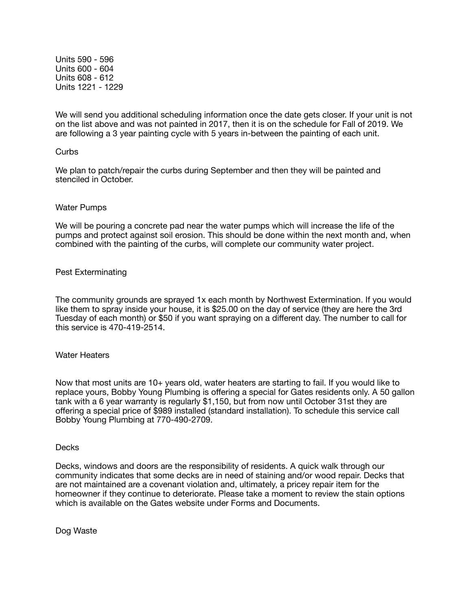Units 590 - 596 Units 600 - 604 Units 608 - 612 Units 1221 - 1229

We will send you additional scheduling information once the date gets closer. If your unit is not on the list above and was not painted in 2017, then it is on the schedule for Fall of 2019. We are following a 3 year painting cycle with 5 years in-between the painting of each unit.

### **Curbs**

We plan to patch/repair the curbs during September and then they will be painted and stenciled in October.

### Water Pumps

We will be pouring a concrete pad near the water pumps which will increase the life of the pumps and protect against soil erosion. This should be done within the next month and, when combined with the painting of the curbs, will complete our community water project.

### Pest Exterminating

The community grounds are sprayed 1x each month by Northwest Extermination. If you would like them to spray inside your house, it is \$25.00 on the day of service (they are here the 3rd Tuesday of each month) or \$50 if you want spraying on a different day. The number to call for this service is 470-419-2514.

# Water Heaters

Now that most units are 10+ years old, water heaters are starting to fail. If you would like to replace yours, Bobby Young Plumbing is offering a special for Gates residents only. A 50 gallon tank with a 6 year warranty is regularly \$1,150, but from now until October 31st they are offering a special price of \$989 installed (standard installation). To schedule this service call Bobby Young Plumbing at 770-490-2709.

#### Decks

Decks, windows and doors are the responsibility of residents. A quick walk through our community indicates that some decks are in need of staining and/or wood repair. Decks that are not maintained are a covenant violation and, ultimately, a pricey repair item for the homeowner if they continue to deteriorate. Please take a moment to review the stain options which is available on the Gates website under Forms and Documents.

Dog Waste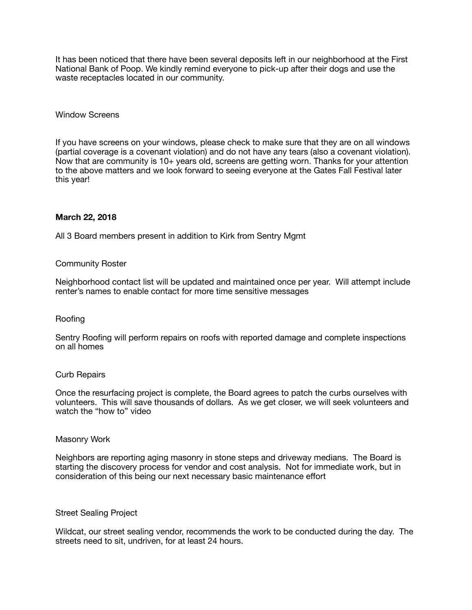It has been noticed that there have been several deposits left in our neighborhood at the First National Bank of Poop. We kindly remind everyone to pick-up after their dogs and use the waste receptacles located in our community.

### Window Screens

If you have screens on your windows, please check to make sure that they are on all windows (partial coverage is a covenant violation) and do not have any tears (also a covenant violation). Now that are community is 10+ years old, screens are getting worn. Thanks for your attention to the above matters and we look forward to seeing everyone at the Gates Fall Festival later this year!

### **March 22, 2018**

All 3 Board members present in addition to Kirk from Sentry Mgmt

### Community Roster

Neighborhood contact list will be updated and maintained once per year. Will attempt include renter's names to enable contact for more time sensitive messages

#### Roofing

Sentry Roofing will perform repairs on roofs with reported damage and complete inspections on all homes

#### Curb Repairs

Once the resurfacing project is complete, the Board agrees to patch the curbs ourselves with volunteers. This will save thousands of dollars. As we get closer, we will seek volunteers and watch the "how to" video

#### Masonry Work

Neighbors are reporting aging masonry in stone steps and driveway medians. The Board is starting the discovery process for vendor and cost analysis. Not for immediate work, but in consideration of this being our next necessary basic maintenance effort

#### Street Sealing Project

Wildcat, our street sealing vendor, recommends the work to be conducted during the day. The streets need to sit, undriven, for at least 24 hours.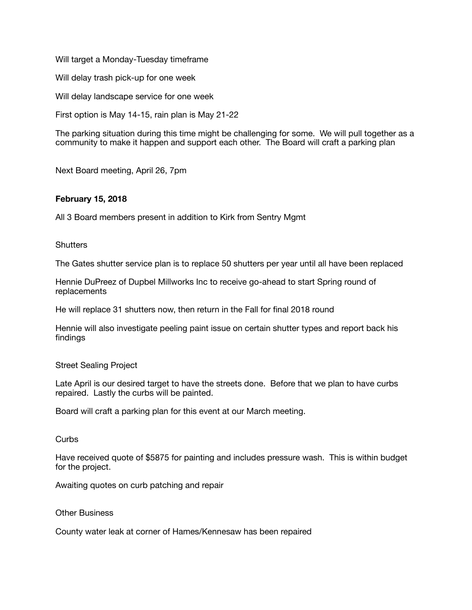Will target a Monday-Tuesday timeframe

Will delay trash pick-up for one week

Will delay landscape service for one week

First option is May 14-15, rain plan is May 21-22

The parking situation during this time might be challenging for some. We will pull together as a community to make it happen and support each other. The Board will craft a parking plan

Next Board meeting, April 26, 7pm

# **February 15, 2018**

All 3 Board members present in addition to Kirk from Sentry Mgmt

**Shutters** 

The Gates shutter service plan is to replace 50 shutters per year until all have been replaced

Hennie DuPreez of Dupbel Millworks Inc to receive go-ahead to start Spring round of replacements

He will replace 31 shutters now, then return in the Fall for final 2018 round

Hennie will also investigate peeling paint issue on certain shutter types and report back his findings

### Street Sealing Project

Late April is our desired target to have the streets done. Before that we plan to have curbs repaired. Lastly the curbs will be painted.

Board will craft a parking plan for this event at our March meeting.

**Curbs** 

Have received quote of \$5875 for painting and includes pressure wash. This is within budget for the project.

Awaiting quotes on curb patching and repair

Other Business

County water leak at corner of Hames/Kennesaw has been repaired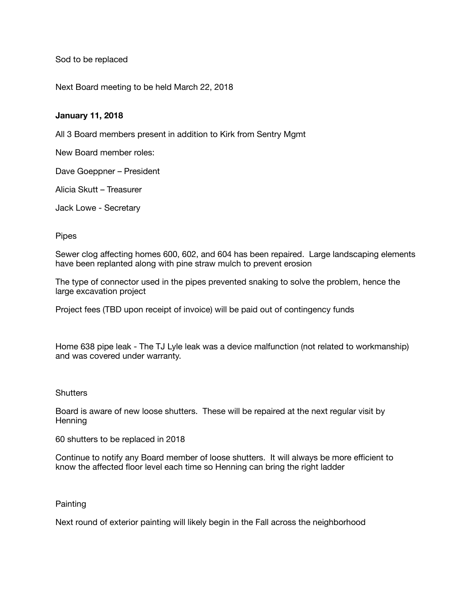Sod to be replaced

Next Board meeting to be held March 22, 2018

## **January 11, 2018**

All 3 Board members present in addition to Kirk from Sentry Mgmt

New Board member roles:

Dave Goeppner – President

Alicia Skutt – Treasurer

Jack Lowe - Secretary

**Pipes** 

Sewer clog affecting homes 600, 602, and 604 has been repaired. Large landscaping elements have been replanted along with pine straw mulch to prevent erosion

The type of connector used in the pipes prevented snaking to solve the problem, hence the large excavation project

Project fees (TBD upon receipt of invoice) will be paid out of contingency funds

Home 638 pipe leak - The TJ Lyle leak was a device malfunction (not related to workmanship) and was covered under warranty.

### **Shutters**

Board is aware of new loose shutters. These will be repaired at the next regular visit by **Henning** 

60 shutters to be replaced in 2018

Continue to notify any Board member of loose shutters. It will always be more efficient to know the affected floor level each time so Henning can bring the right ladder

### **Painting**

Next round of exterior painting will likely begin in the Fall across the neighborhood